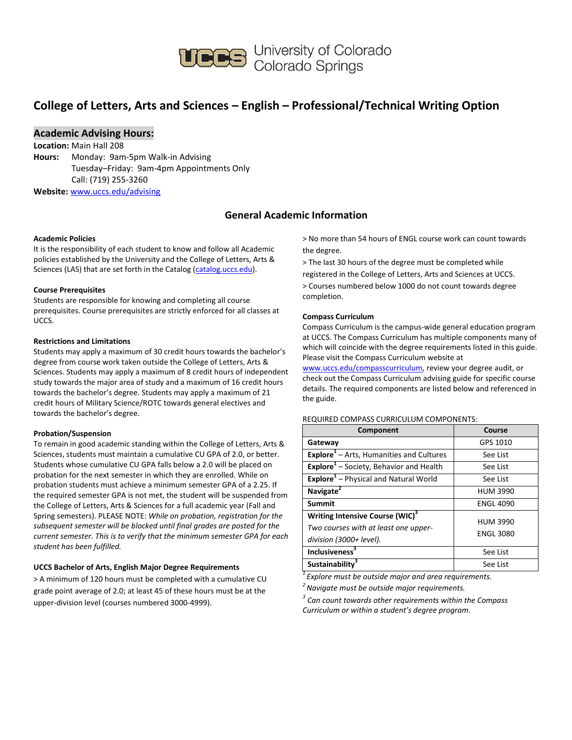

**UCCS** University of Colorado<br>Colorado Springs

## **College of Letters, Arts and Sciences – English – Professional/Technical Writing Option**

### **Academic Advising Hours:**

**Location:** Main Hall 208 **Hours:** Monday: 9am-5pm Walk-in Advising Tuesday–Friday: 9am-4pm Appointments Only Call: (719) 255-3260 **Website:** [www.uccs.edu/advising](http://www.uccs.edu/advising)

### **General Academic Information**

#### **Academic Policies**

It is the responsibility of each student to know and follow all Academic policies established by the University and the College of Letters, Arts & Sciences (LAS) that are set forth in the Catalog [\(catalog.uccs.edu\)](http://catalog.uccs.edu/).

#### **Course Prerequisites**

Students are responsible for knowing and completing all course prerequisites. Course prerequisites are strictly enforced for all classes at UCCS.

#### **Restrictions and Limitations**

Students may apply a maximum of 30 credit hours towards the bachelor's degree from course work taken outside the College of Letters, Arts & Sciences. Students may apply a maximum of 8 credit hours of independent study towards the major area of study and a maximum of 16 credit hours towards the bachelor's degree. Students may apply a maximum of 21 credit hours of Military Science/ROTC towards general electives and towards the bachelor's degree.

#### **Probation/Suspension**

To remain in good academic standing within the College of Letters, Arts & Sciences, students must maintain a cumulative CU GPA of 2.0, or better. Students whose cumulative CU GPA falls below a 2.0 will be placed on probation for the next semester in which they are enrolled. While on probation students must achieve a minimum semester GPA of a 2.25. If the required semester GPA is not met, the student will be suspended from the College of Letters, Arts & Sciences for a full academic year (Fall and Spring semesters). PLEASE NOTE: *While on probation, registration for the subsequent semester will be blocked until final grades are posted for the current semester. This is to verify that the minimum semester GPA for each student has been fulfilled.*

#### **UCCS Bachelor of Arts, English Major Degree Requirements**

> A minimum of 120 hours must be completed with a cumulative CU grade point average of 2.0; at least 45 of these hours must be at the upper-division level (courses numbered 3000-4999).

> No more than 54 hours of ENGL course work can count towards the degree.

> The last 30 hours of the degree must be completed while registered in the College of Letters, Arts and Sciences at UCCS. > Courses numbered below 1000 do not count towards degree completion.

#### **Compass Curriculum**

Compass Curriculum is the campus-wide general education program at UCCS. The Compass Curriculum has multiple components many of which will coincide with the degree requirements listed in this guide. Please visit the Compass Curriculum website at

[www.uccs.edu/compasscurriculum,](http://www.uccs.edu/compasscurriculum) review your degree audit, or check out the Compass Curriculum advising guide for specific course details. The required components are listed below and referenced in the guide.

#### REQUIRED COMPASS CURRICULUM COMPONENTS:

| Component                                                                                                      | Course                              |
|----------------------------------------------------------------------------------------------------------------|-------------------------------------|
| Gateway                                                                                                        | GPS 1010                            |
| <b>Explore</b> <sup>1</sup> – Arts, Humanities and Cultures                                                    | See List                            |
| Explore <sup>1</sup> - Society, Behavior and Health                                                            | See List                            |
| Explore <sup>1</sup> - Physical and Natural World                                                              | See List                            |
| Navigate <sup>2</sup>                                                                                          | <b>HUM 3990</b>                     |
| <b>Summit</b>                                                                                                  | <b>ENGL 4090</b>                    |
| Writing Intensive Course (WIC) <sup>3</sup><br>Two courses with at least one upper-<br>division (3000+ level). | <b>HUM 3990</b><br><b>ENGL 3080</b> |
| <b>Inclusiveness</b> <sup>3</sup>                                                                              | See List                            |
| Sustainability <sup>3</sup>                                                                                    | See List                            |

*<sup>1</sup>Explore must be outside major and area requirements.*

*<sup>2</sup>Navigate must be outside major requirements.*

*3 Can count towards other requirements within the Compass Curriculum or within a student's degree program.*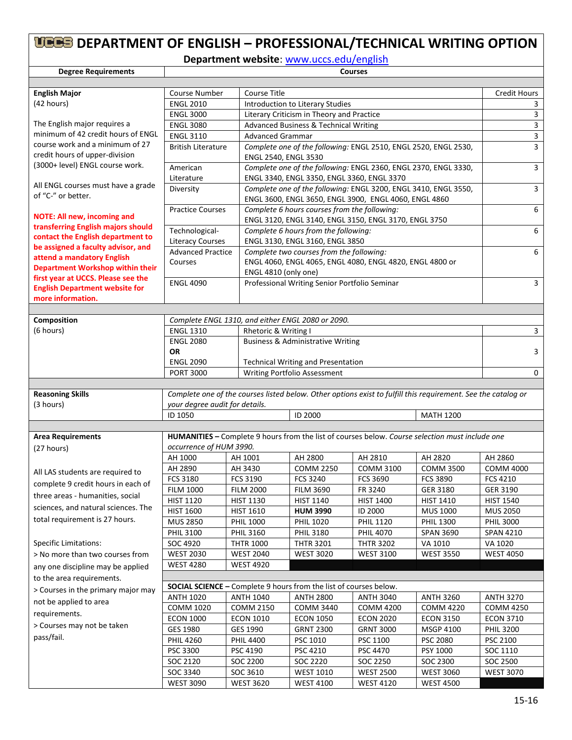# **DEPARTMENT OF ENGLISH – PROFESSIONAL/TECHNICAL WRITING OPTION**

**Department website**: [www.uccs.edu/english](http://www.uccs.edu/english)

| <b>Degree Requirements</b>                                                  | <b>Courses</b>                                                                                                                                                                             |                                                                                                                          |                                                                                                 |                  |                  |                  |  |  |
|-----------------------------------------------------------------------------|--------------------------------------------------------------------------------------------------------------------------------------------------------------------------------------------|--------------------------------------------------------------------------------------------------------------------------|-------------------------------------------------------------------------------------------------|------------------|------------------|------------------|--|--|
|                                                                             |                                                                                                                                                                                            |                                                                                                                          |                                                                                                 |                  |                  |                  |  |  |
| <b>English Major</b>                                                        | Course Number                                                                                                                                                                              |                                                                                                                          | <b>Course Title</b>                                                                             |                  |                  |                  |  |  |
| (42 hours)                                                                  | <b>ENGL 2010</b>                                                                                                                                                                           |                                                                                                                          | Introduction to Literary Studies                                                                |                  |                  |                  |  |  |
|                                                                             | <b>ENGL 3000</b>                                                                                                                                                                           |                                                                                                                          | Literary Criticism in Theory and Practice                                                       |                  |                  |                  |  |  |
| The English major requires a                                                | <b>ENGL 3080</b>                                                                                                                                                                           |                                                                                                                          | Advanced Business & Technical Writing                                                           |                  |                  |                  |  |  |
| minimum of 42 credit hours of ENGL                                          | <b>ENGL 3110</b>                                                                                                                                                                           | <b>Advanced Grammar</b>                                                                                                  | $\overline{3}$                                                                                  |                  |                  |                  |  |  |
| course work and a minimum of 27<br>credit hours of upper-division           | <b>British Literature</b>                                                                                                                                                                  |                                                                                                                          | Complete one of the following: ENGL 2510, ENGL 2520, ENGL 2530,<br>ENGL 2540, ENGL 3530         |                  |                  |                  |  |  |
| (3000+ level) ENGL course work.                                             | American                                                                                                                                                                                   |                                                                                                                          | Complete one of the following: ENGL 2360, ENGL 2370, ENGL 3330,                                 |                  |                  |                  |  |  |
| All ENGL courses must have a grade                                          | ENGL 3340, ENGL 3350, ENGL 3360, ENGL 3370<br>Literature                                                                                                                                   |                                                                                                                          |                                                                                                 |                  |                  | 3                |  |  |
| of "C-" or better.                                                          | Diversity                                                                                                                                                                                  | Complete one of the following: ENGL 3200, ENGL 3410, ENGL 3550,<br>ENGL 3600, ENGL 3650, ENGL 3900, ENGL 4060, ENGL 4860 |                                                                                                 |                  |                  |                  |  |  |
| <b>NOTE: All new, incoming and</b>                                          | Complete 6 hours courses from the following:<br><b>Practice Courses</b><br>ENGL 3120, ENGL 3140, ENGL 3150, ENGL 3170, ENGL 3750<br>Technological-<br>Complete 6 hours from the following: |                                                                                                                          |                                                                                                 |                  |                  | 6                |  |  |
| transferring English majors should<br>contact the English department to     |                                                                                                                                                                                            |                                                                                                                          |                                                                                                 |                  | 6                |                  |  |  |
| be assigned a faculty advisor, and                                          | <b>Literacy Courses</b>                                                                                                                                                                    |                                                                                                                          | ENGL 3130, ENGL 3160, ENGL 3850                                                                 |                  |                  |                  |  |  |
| attend a mandatory English                                                  | <b>Advanced Practice</b>                                                                                                                                                                   |                                                                                                                          | Complete two courses from the following:                                                        |                  |                  | 6                |  |  |
| <b>Department Workshop within their</b>                                     | Courses                                                                                                                                                                                    |                                                                                                                          | ENGL 4060, ENGL 4065, ENGL 4080, ENGL 4820, ENGL 4800 or<br>ENGL 4810 (only one)                |                  |                  |                  |  |  |
| first year at UCCS. Please see the<br><b>English Department website for</b> | <b>ENGL 4090</b>                                                                                                                                                                           |                                                                                                                          | Professional Writing Senior Portfolio Seminar                                                   |                  |                  | 3                |  |  |
| more information.                                                           |                                                                                                                                                                                            |                                                                                                                          |                                                                                                 |                  |                  |                  |  |  |
|                                                                             |                                                                                                                                                                                            |                                                                                                                          |                                                                                                 |                  |                  |                  |  |  |
| Composition                                                                 |                                                                                                                                                                                            |                                                                                                                          | Complete ENGL 1310, and either ENGL 2080 or 2090.                                               |                  |                  |                  |  |  |
| (6 hours)                                                                   | <b>ENGL 1310</b>                                                                                                                                                                           | Rhetoric & Writing I                                                                                                     |                                                                                                 |                  |                  | 3                |  |  |
|                                                                             | <b>ENGL 2080</b>                                                                                                                                                                           |                                                                                                                          | <b>Business &amp; Administrative Writing</b>                                                    |                  |                  |                  |  |  |
|                                                                             | <b>OR</b>                                                                                                                                                                                  |                                                                                                                          |                                                                                                 |                  |                  | 3                |  |  |
|                                                                             | <b>ENGL 2090</b>                                                                                                                                                                           |                                                                                                                          | <b>Technical Writing and Presentation</b>                                                       |                  |                  |                  |  |  |
|                                                                             | <b>PORT 3000</b>                                                                                                                                                                           |                                                                                                                          | Writing Portfolio Assessment                                                                    |                  |                  | 0                |  |  |
|                                                                             |                                                                                                                                                                                            |                                                                                                                          |                                                                                                 |                  |                  |                  |  |  |
| <b>Reasoning Skills</b><br>(3 hours)                                        | Complete one of the courses listed below. Other options exist to fulfill this requirement. See the catalog or<br>your degree audit for details.                                            |                                                                                                                          |                                                                                                 |                  |                  |                  |  |  |
|                                                                             | ID 1050                                                                                                                                                                                    |                                                                                                                          | ID 2000                                                                                         |                  | <b>MATH 1200</b> |                  |  |  |
|                                                                             |                                                                                                                                                                                            |                                                                                                                          |                                                                                                 |                  |                  |                  |  |  |
| <b>Area Requirements</b>                                                    |                                                                                                                                                                                            |                                                                                                                          | HUMANITIES - Complete 9 hours from the list of courses below. Course selection must include one |                  |                  |                  |  |  |
| (27 hours)                                                                  | occurrence of HUM 3990.                                                                                                                                                                    |                                                                                                                          |                                                                                                 |                  |                  |                  |  |  |
|                                                                             | AH 1000                                                                                                                                                                                    | AH 1001                                                                                                                  | AH 2800                                                                                         | AH 2810          | AH 2820          | AH 2860          |  |  |
|                                                                             | AH 2890                                                                                                                                                                                    | AH 3430                                                                                                                  | <b>COMM 2250</b>                                                                                | <b>COMM 3100</b> | <b>COMM 3500</b> | <b>COMM 4000</b> |  |  |
| All LAS students are required to                                            | FCS 3180                                                                                                                                                                                   | <b>FCS 3190</b>                                                                                                          | FCS 3240                                                                                        | FCS 3690         | <b>FCS 3890</b>  | <b>FCS 4210</b>  |  |  |
| complete 9 credit hours in each of                                          | <b>FILM 1000</b>                                                                                                                                                                           | <b>FILM 2000</b>                                                                                                         | <b>FILM 3690</b>                                                                                | FR 3240          | <b>GER 3180</b>  | GER 3190         |  |  |
| three areas - humanities, social                                            | <b>HIST 1120</b>                                                                                                                                                                           | <b>HIST 1130</b>                                                                                                         | HIST 1140                                                                                       | HIST 1400        | <b>HIST 1410</b> | <b>HIST 1540</b> |  |  |
| sciences, and natural sciences. The                                         | <b>HIST 1600</b>                                                                                                                                                                           | <b>HIST 1610</b>                                                                                                         | <b>HUM 3990</b>                                                                                 | ID 2000          | <b>MUS 1000</b>  | <b>MUS 2050</b>  |  |  |
| total requirement is 27 hours.                                              | <b>MUS 2850</b>                                                                                                                                                                            | <b>PHIL 1000</b>                                                                                                         | <b>PHIL 1020</b>                                                                                | <b>PHIL 1120</b> | PHIL 1300        | <b>PHIL 3000</b> |  |  |
|                                                                             | <b>PHIL 3100</b>                                                                                                                                                                           | <b>PHIL 3160</b>                                                                                                         | <b>PHIL 3180</b>                                                                                | <b>PHIL 4070</b> | <b>SPAN 3690</b> | SPAN 4210        |  |  |
| <b>Specific Limitations:</b>                                                | SOC 4920                                                                                                                                                                                   | <b>THTR 1000</b>                                                                                                         | <b>THTR 3201</b>                                                                                | <b>THTR 3202</b> | VA 1010          | VA 1020          |  |  |
| > No more than two courses from                                             | <b>WEST 2030</b>                                                                                                                                                                           | <b>WEST 2040</b>                                                                                                         | <b>WEST 3020</b>                                                                                | <b>WEST 3100</b> | <b>WEST 3550</b> | <b>WEST 4050</b> |  |  |
| any one discipline may be applied                                           | <b>WEST 4280</b>                                                                                                                                                                           | <b>WEST 4920</b>                                                                                                         |                                                                                                 |                  |                  |                  |  |  |
| to the area requirements.                                                   |                                                                                                                                                                                            |                                                                                                                          |                                                                                                 |                  |                  |                  |  |  |
| > Courses in the primary major may                                          |                                                                                                                                                                                            |                                                                                                                          | <b>SOCIAL SCIENCE - Complete 9 hours from the list of courses below.</b>                        |                  |                  |                  |  |  |
|                                                                             | <b>ANTH 1020</b>                                                                                                                                                                           | <b>ANTH 1040</b>                                                                                                         | <b>ANTH 2800</b>                                                                                | <b>ANTH 3040</b> | <b>ANTH 3260</b> | <b>ANTH 3270</b> |  |  |
| not be applied to area                                                      | COMM 1020                                                                                                                                                                                  | <b>COMM 2150</b>                                                                                                         | <b>COMM 3440</b>                                                                                | <b>COMM 4200</b> | <b>COMM 4220</b> | <b>COMM 4250</b> |  |  |
| requirements.                                                               | <b>ECON 1000</b>                                                                                                                                                                           | <b>ECON 1010</b>                                                                                                         | <b>ECON 1050</b>                                                                                | <b>ECON 2020</b> | <b>ECON 3150</b> | <b>ECON 3710</b> |  |  |
| > Courses may not be taken                                                  | GES 1980                                                                                                                                                                                   | GES 1990                                                                                                                 | <b>GRNT 2300</b>                                                                                | <b>GRNT 3000</b> | <b>MSGP 4100</b> | <b>PHIL 3200</b> |  |  |
| pass/fail.                                                                  | <b>PHIL 4260</b>                                                                                                                                                                           | <b>PHIL 4400</b>                                                                                                         | PSC 1010                                                                                        | PSC 1100         | PSC 2080         | PSC 2100         |  |  |
|                                                                             | PSC 3300                                                                                                                                                                                   | PSC 4190                                                                                                                 | PSC 4210                                                                                        | PSC 4470         | PSY 1000         | SOC 1110         |  |  |
|                                                                             | SOC 2120                                                                                                                                                                                   | SOC 2200                                                                                                                 | SOC 2220                                                                                        | SOC 2250         | SOC 2300         | SOC 2500         |  |  |
|                                                                             | SOC 3340                                                                                                                                                                                   | SOC 3610                                                                                                                 | <b>WEST 1010</b>                                                                                | <b>WEST 2500</b> | <b>WEST 3060</b> | <b>WEST 3070</b> |  |  |
|                                                                             | <b>WEST 3090</b>                                                                                                                                                                           | <b>WEST 3620</b>                                                                                                         | <b>WEST 4100</b>                                                                                | <b>WEST 4120</b> | <b>WEST 4500</b> |                  |  |  |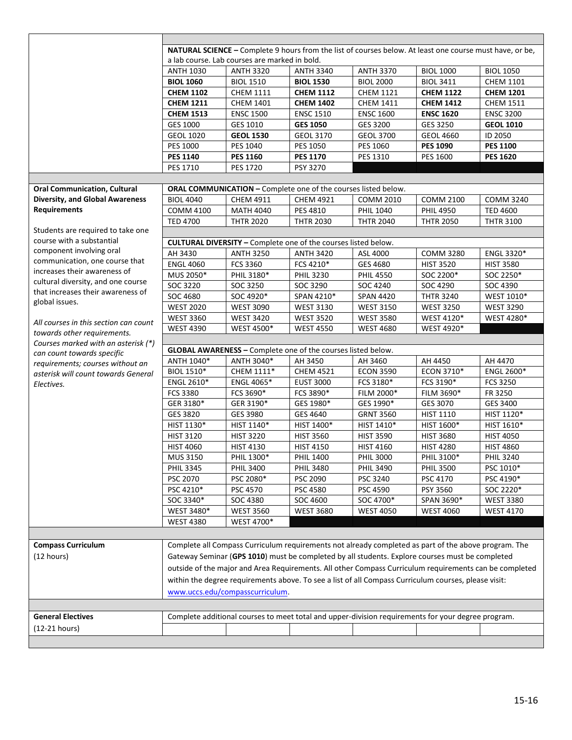|                                        | NATURAL SCIENCE - Complete 9 hours from the list of courses below. At least one course must have, or be, |                                                                       |                  |                                                                                                        |                                      |                  |  |  |
|----------------------------------------|----------------------------------------------------------------------------------------------------------|-----------------------------------------------------------------------|------------------|--------------------------------------------------------------------------------------------------------|--------------------------------------|------------------|--|--|
|                                        | a lab course. Lab courses are marked in bold.                                                            |                                                                       |                  |                                                                                                        |                                      |                  |  |  |
|                                        | <b>ANTH 1030</b>                                                                                         |                                                                       | <b>ANTH 3340</b> | <b>ANTH 3370</b>                                                                                       |                                      |                  |  |  |
|                                        | <b>BIOL 1060</b>                                                                                         | <b>ANTH 3320</b>                                                      | <b>BIOL 1530</b> | <b>BIOL 2000</b>                                                                                       | <b>BIOL 1000</b><br><b>BIOL 3411</b> | <b>BIOL 1050</b> |  |  |
|                                        |                                                                                                          | <b>BIOL 1510</b>                                                      |                  |                                                                                                        |                                      | <b>CHEM 1101</b> |  |  |
|                                        | <b>CHEM 1102</b>                                                                                         | <b>CHEM 1111</b>                                                      | <b>CHEM 1112</b> | <b>CHEM 1121</b>                                                                                       | <b>CHEM 1122</b>                     | <b>CHEM 1201</b> |  |  |
|                                        | <b>CHEM 1211</b>                                                                                         | <b>CHEM 1401</b>                                                      | <b>CHEM 1402</b> | <b>CHEM 1411</b>                                                                                       | <b>CHEM 1412</b>                     | <b>CHEM 1511</b> |  |  |
|                                        | <b>CHEM 1513</b>                                                                                         | <b>ENSC 1500</b>                                                      | <b>ENSC 1510</b> | <b>ENSC 1600</b>                                                                                       | <b>ENSC 1620</b>                     | <b>ENSC 3200</b> |  |  |
|                                        | GES 1000                                                                                                 | GES 1010                                                              | <b>GES 1050</b>  | GES 3200                                                                                               | GES 3250                             | <b>GEOL 1010</b> |  |  |
|                                        | <b>GEOL 1020</b>                                                                                         | <b>GEOL 1530</b>                                                      | <b>GEOL 3170</b> | <b>GEOL 3700</b>                                                                                       | <b>GEOL 4660</b>                     | ID 2050          |  |  |
|                                        | <b>PES 1000</b>                                                                                          | PES 1040                                                              | PES 1050         | PES 1060                                                                                               | <b>PES 1090</b>                      | <b>PES 1100</b>  |  |  |
|                                        | <b>PES 1140</b>                                                                                          | <b>PES 1160</b>                                                       | <b>PES 1170</b>  | PES 1310                                                                                               | PES 1600                             | <b>PES 1620</b>  |  |  |
|                                        | PES 1710                                                                                                 | PES 1720                                                              | PSY 3270         |                                                                                                        |                                      |                  |  |  |
|                                        |                                                                                                          |                                                                       |                  |                                                                                                        |                                      |                  |  |  |
| <b>Oral Communication, Cultural</b>    |                                                                                                          | ORAL COMMUNICATION - Complete one of the courses listed below.        |                  |                                                                                                        |                                      |                  |  |  |
| <b>Diversity, and Global Awareness</b> | <b>BIOL 4040</b>                                                                                         | CHEM 4911                                                             | <b>CHEM 4921</b> | <b>COMM 2010</b>                                                                                       | <b>COMM 2100</b>                     | <b>COMM 3240</b> |  |  |
| <b>Requirements</b>                    | <b>COMM 4100</b>                                                                                         | <b>MATH 4040</b>                                                      | PES 4810         | PHIL 1040                                                                                              | <b>PHIL 4950</b>                     | <b>TED 4600</b>  |  |  |
|                                        | <b>TED 4700</b>                                                                                          | <b>THTR 2020</b>                                                      | <b>THTR 2030</b> | <b>THTR 2040</b>                                                                                       | <b>THTR 2050</b>                     | <b>THTR 3100</b> |  |  |
| Students are required to take one      |                                                                                                          |                                                                       |                  |                                                                                                        |                                      |                  |  |  |
| course with a substantial              |                                                                                                          | <b>CULTURAL DIVERSITY - Complete one of the courses listed below.</b> |                  |                                                                                                        |                                      |                  |  |  |
| component involving oral               | AH 3430                                                                                                  | <b>ANTH 3250</b>                                                      | <b>ANTH 3420</b> | ASL 4000                                                                                               | <b>COMM 3280</b>                     | ENGL 3320*       |  |  |
| communication, one course that         | <b>ENGL 4060</b>                                                                                         | FCS 3360                                                              | FCS 4210*        | GES 4680                                                                                               | <b>HIST 3520</b>                     | <b>HIST 3580</b> |  |  |
| increases their awareness of           | MUS 2050*                                                                                                | PHIL 3180*                                                            | <b>PHIL 3230</b> | <b>PHIL 4550</b>                                                                                       | SOC 2200*                            | SOC 2250*        |  |  |
| cultural diversity, and one course     | SOC 3220                                                                                                 | SOC 3250                                                              | SOC 3290         | SOC 4240                                                                                               | SOC 4290                             | SOC 4390         |  |  |
| that increases their awareness of      | SOC 4680                                                                                                 | SOC 4920*                                                             | SPAN 4210*       | <b>SPAN 4420</b>                                                                                       | <b>THTR 3240</b>                     | WEST 1010*       |  |  |
| global issues.                         | <b>WEST 2020</b>                                                                                         | <b>WEST 3090</b>                                                      | <b>WEST 3130</b> | <b>WEST 3150</b>                                                                                       | <b>WEST 3250</b>                     | <b>WEST 3290</b> |  |  |
|                                        | <b>WEST 3360</b>                                                                                         | <b>WEST 3420</b>                                                      | <b>WEST 3520</b> | <b>WEST 3580</b>                                                                                       | WEST 4120*                           | WEST 4280*       |  |  |
| All courses in this section can count  | <b>WEST 4390</b>                                                                                         | WEST 4500*                                                            | <b>WEST 4550</b> | <b>WEST 4680</b>                                                                                       | WEST 4920*                           |                  |  |  |
| towards other requirements.            |                                                                                                          |                                                                       |                  |                                                                                                        |                                      |                  |  |  |
| Courses marked with an asterisk (*)    |                                                                                                          | <b>GLOBAL AWARENESS - Complete one of the courses listed below.</b>   |                  |                                                                                                        |                                      |                  |  |  |
| can count towards specific             | ANTH 1040*                                                                                               | ANTH 3040*                                                            | AH 3450          | AH 3460                                                                                                | AH 4450                              | AH 4470          |  |  |
| requirements; courses without an       | BIOL 1510*                                                                                               | CHEM 1111*                                                            | <b>CHEM 4521</b> | <b>ECON 3590</b>                                                                                       | ECON 3710*                           | ENGL 2600*       |  |  |
| asterisk will count towards General    | ENGL 2610*                                                                                               | ENGL 4065*                                                            | <b>EUST 3000</b> | FCS 3180*                                                                                              | FCS 3190*                            | <b>FCS 3250</b>  |  |  |
| Electives.                             | <b>FCS 3380</b>                                                                                          | FCS 3690*                                                             | FCS 3890*        | FILM 2000*                                                                                             | FILM 3690*                           | FR 3250          |  |  |
|                                        | GER 3180*                                                                                                | GER 3190*                                                             | GES 1980*        | GES 1990*                                                                                              | GES 3070                             | GES 3400         |  |  |
|                                        | GES 3820                                                                                                 | GES 3980                                                              | GES 4640         | <b>GRNT 3560</b>                                                                                       | <b>HIST 1110</b>                     | HIST 1120*       |  |  |
|                                        | HIST 1130*                                                                                               | HIST 1140*                                                            | HIST 1400*       |                                                                                                        |                                      |                  |  |  |
|                                        |                                                                                                          |                                                                       |                  |                                                                                                        |                                      |                  |  |  |
|                                        |                                                                                                          |                                                                       |                  | HIST 1410*                                                                                             | HIST 1600*                           | HIST 1610*       |  |  |
|                                        | <b>HIST 3120</b>                                                                                         | <b>HIST 3220</b>                                                      | <b>HIST 3560</b> | <b>HIST 3590</b>                                                                                       | <b>HIST 3680</b>                     | <b>HIST 4050</b> |  |  |
|                                        | <b>HIST 4060</b>                                                                                         | <b>HIST 4130</b>                                                      | <b>HIST 4150</b> | <b>HIST 4160</b>                                                                                       | <b>HIST 4280</b>                     | <b>HIST 4860</b> |  |  |
|                                        | MUS 3150                                                                                                 | PHIL 1300*                                                            | <b>PHIL 1400</b> | <b>PHIL 3000</b>                                                                                       | PHIL 3100*                           | <b>PHIL 3240</b> |  |  |
|                                        | <b>PHIL 3345</b>                                                                                         | <b>PHIL 3400</b>                                                      | <b>PHIL 3480</b> | <b>PHIL 3490</b>                                                                                       | <b>PHIL 3500</b>                     | PSC 1010*        |  |  |
|                                        | PSC 2070                                                                                                 | PSC 2080*                                                             | PSC 2090         | PSC 3240                                                                                               | PSC 4170                             | PSC 4190*        |  |  |
|                                        | PSC 4210*                                                                                                | PSC 4570                                                              | PSC 4580         | PSC 4590                                                                                               | PSY 3560                             | SOC 2220*        |  |  |
|                                        | SOC 3340*                                                                                                | SOC 4380                                                              | SOC 4600         | SOC 4700*                                                                                              | SPAN 3690*                           | <b>WEST 3380</b> |  |  |
|                                        | WEST 3480*                                                                                               | <b>WEST 3560</b>                                                      | <b>WEST 3680</b> | <b>WEST 4050</b>                                                                                       | <b>WEST 4060</b>                     | <b>WEST 4170</b> |  |  |
|                                        | <b>WEST 4380</b>                                                                                         | WEST 4700*                                                            |                  |                                                                                                        |                                      |                  |  |  |
|                                        |                                                                                                          |                                                                       |                  |                                                                                                        |                                      |                  |  |  |
| <b>Compass Curriculum</b>              |                                                                                                          |                                                                       |                  | Complete all Compass Curriculum requirements not already completed as part of the above program. The   |                                      |                  |  |  |
| (12 hours)                             |                                                                                                          |                                                                       |                  | Gateway Seminar (GPS 1010) must be completed by all students. Explore courses must be completed        |                                      |                  |  |  |
|                                        |                                                                                                          |                                                                       |                  |                                                                                                        |                                      |                  |  |  |
|                                        |                                                                                                          |                                                                       |                  | outside of the major and Area Requirements. All other Compass Curriculum requirements can be completed |                                      |                  |  |  |
|                                        |                                                                                                          |                                                                       |                  | within the degree requirements above. To see a list of all Compass Curriculum courses, please visit:   |                                      |                  |  |  |
|                                        |                                                                                                          | www.uccs.edu/compasscurriculum.                                       |                  |                                                                                                        |                                      |                  |  |  |
|                                        |                                                                                                          |                                                                       |                  |                                                                                                        |                                      |                  |  |  |
| <b>General Electives</b>               |                                                                                                          |                                                                       |                  | Complete additional courses to meet total and upper-division requirements for your degree program.     |                                      |                  |  |  |
| $(12-21$ hours)                        |                                                                                                          |                                                                       |                  |                                                                                                        |                                      |                  |  |  |